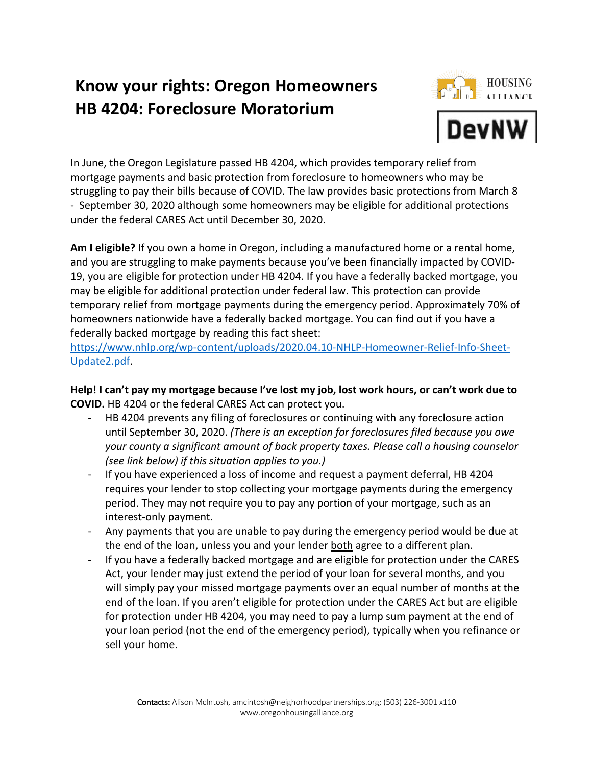# **Know your rights: Oregon Homeowners HB 4204: Foreclosure Moratorium**



In June, the Oregon Legislature passed HB 4204, which provides temporary relief from mortgage payments and basic protection from foreclosure to homeowners who may be struggling to pay their bills because of COVID. The law provides basic protections from March 8 - September 30, 2020 although some homeowners may be eligible for additional protections under the federal CARES Act until December 30, 2020.

Am I eligible? If you own a home in Oregon, including a manufactured home or a rental home, and you are struggling to make payments because you've been financially impacted by COVID-19, you are eligible for protection under HB 4204. If you have a federally backed mortgage, you may be eligible for additional protection under federal law. This protection can provide temporary relief from mortgage payments during the emergency period. Approximately 70% of homeowners nationwide have a federally backed mortgage. You can find out if you have a federally backed mortgage by reading this fact sheet:

https://www.nhlp.org/wp-content/uploads/2020.04.10-NHLP-Homeowner-Relief-Info-Sheet-Update2.pdf.

**Help! I can't pay my mortgage because I've lost my job, lost work hours, or can't work due to COVID.** HB 4204 or the federal CARES Act can protect you.

- HB 4204 prevents any filing of foreclosures or continuing with any foreclosure action until September 30, 2020. *(There is an exception for foreclosures filed because you owe your county a significant amount of back property taxes. Please call a housing counselor (see link below) if this situation applies to you.)*
- If you have experienced a loss of income and request a payment deferral, HB 4204 requires your lender to stop collecting your mortgage payments during the emergency period. They may not require you to pay any portion of your mortgage, such as an interest-only payment.
- Any payments that you are unable to pay during the emergency period would be due at the end of the loan, unless you and your lender both agree to a different plan.
- If you have a federally backed mortgage and are eligible for protection under the CARES Act, your lender may just extend the period of your loan for several months, and you will simply pay your missed mortgage payments over an equal number of months at the end of the loan. If you aren't eligible for protection under the CARES Act but are eligible for protection under HB 4204, you may need to pay a lump sum payment at the end of your loan period (not the end of the emergency period), typically when you refinance or sell your home.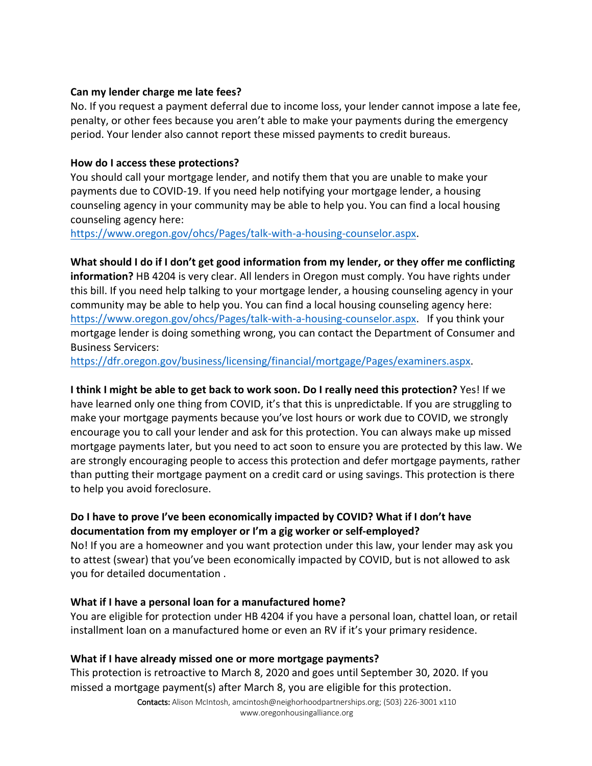#### **Can my lender charge me late fees?**

No. If you request a payment deferral due to income loss, your lender cannot impose a late fee, penalty, or other fees because you aren't able to make your payments during the emergency period. Your lender also cannot report these missed payments to credit bureaus.

#### **How do I access these protections?**

You should call your mortgage lender, and notify them that you are unable to make your payments due to COVID-19. If you need help notifying your mortgage lender, a housing counseling agency in your community may be able to help you. You can find a local housing counseling agency here:

https://www.oregon.gov/ohcs/Pages/talk-with-a-housing-counselor.aspx.

# **What should I do if I don't get good information from my lender, or they offer me conflicting**

**information?** HB 4204 is very clear. All lenders in Oregon must comply. You have rights under this bill. If you need help talking to your mortgage lender, a housing counseling agency in your community may be able to help you. You can find a local housing counseling agency here: https://www.oregon.gov/ohcs/Pages/talk-with-a-housing-counselor.aspx. If you think your mortgage lender is doing something wrong, you can contact the Department of Consumer and Business Servicers:

https://dfr.oregon.gov/business/licensing/financial/mortgage/Pages/examiners.aspx.

# **I think I might be able to get back to work soon. Do I really need this protection?** Yes! If we

have learned only one thing from COVID, it's that this is unpredictable. If you are struggling to make your mortgage payments because you've lost hours or work due to COVID, we strongly encourage you to call your lender and ask for this protection. You can always make up missed mortgage payments later, but you need to act soon to ensure you are protected by this law. We are strongly encouraging people to access this protection and defer mortgage payments, rather than putting their mortgage payment on a credit card or using savings. This protection is there to help you avoid foreclosure.

# **Do I have to prove I've been economically impacted by COVID? What if I don't have documentation from my employer or I'm a gig worker or self-employed?**

No! If you are a homeowner and you want protection under this law, your lender may ask you to attest (swear) that you've been economically impacted by COVID, but is not allowed to ask you for detailed documentation .

## **What if I have a personal loan for a manufactured home?**

You are eligible for protection under HB 4204 if you have a personal loan, chattel loan, or retail installment loan on a manufactured home or even an RV if it's your primary residence.

## **What if I have already missed one or more mortgage payments?**

This protection is retroactive to March 8, 2020 and goes until September 30, 2020. If you missed a mortgage payment(s) after March 8, you are eligible for this protection.

> Contacts: Alison McIntosh, amcintosh@neighorhoodpartnerships.org; (503) 226-3001 x110 www.oregonhousingalliance.org